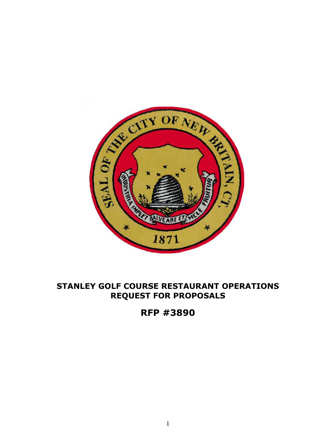

# **STANLEY GOLF COURSE RESTAURANT OPERATIONS REQUEST FOR PROPOSALS**

**RFP #3890**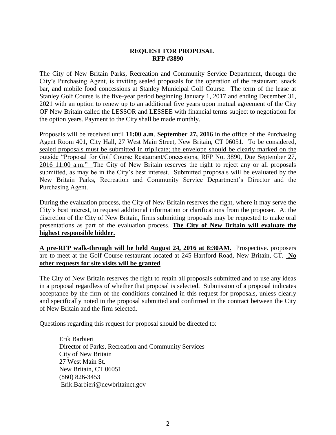The City of New Britain Parks, Recreation and Community Service Department, through the City's Purchasing Agent, is inviting sealed proposals for the operation of the restaurant, snack bar, and mobile food concessions at Stanley Municipal Golf Course. The term of the lease at Stanley Golf Course is the five-year period beginning January 1, 2017 and ending December 31, 2021 with an option to renew up to an additional five years upon mutual agreement of the City OF New Britain called the LESSOR and LESSEE with financial terms subject to negotiation for the option years. Payment to the City shall be made monthly.

Proposals will be received until **11:00 a.m**. **September 27, 2016** in the office of the Purchasing Agent Room 401, City Hall, 27 West Main Street, New Britain, CT 06051. To be considered, sealed proposals must be submitted in triplicate; the envelope should be clearly marked on the outside "Proposal for Golf Course Restaurant/Concessions, RFP No. 3890, Due September 27*,*  2016 11:00 a.m." The City of New Britain reserves the right to reject any or all proposals submitted, as may be in the City's best interest. Submitted proposals will be evaluated by the New Britain Parks, Recreation and Community Service Department's Director and the Purchasing Agent.

During the evaluation process, the City of New Britain reserves the right, where it may serve the City's best interest, to request additional information or clarifications from the proposer. At the discretion of the City of New Britain, firms submitting proposals may be requested to make oral presentations as part of the evaluation process. **The City of New Britain will evaluate the highest responsible bidder.**

**A pre-RFP walk-through will be held August 24, 2016 at 8:30AM.** Prospective. proposers are to meet at the Golf Course restaurant located at 245 Hartford Road, New Britain, CT. **No other requests for site visits will be granted**

The City of New Britain reserves the right to retain all proposals submitted and to use any ideas in a proposal regardless of whether that proposal is selected. Submission of a proposal indicates acceptance by the firm of the conditions contained in this request for proposals, unless clearly and specifically noted in the proposal submitted and confirmed in the contract between the City of New Britain and the firm selected.

Questions regarding this request for proposal should be directed to:

Erik Barbieri Director of Parks, Recreation and Community Services City of New Britain 27 West Main St. New Britain, CT 06051 (860) 826-3453 Erik.Barbieri@newbritainct.gov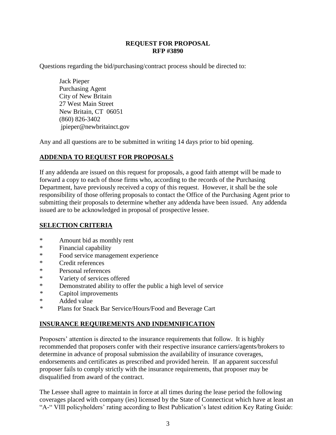Questions regarding the bid/purchasing/contract process should be directed to:

Jack Pieper Purchasing Agent City of New Britain 27 West Main Street New Britain, CT 06051 (860) 826-3402 jpieper@newbritainct.gov

Any and all questions are to be submitted in writing 14 days prior to bid opening.

## **ADDENDA TO REQUEST FOR PROPOSALS**

If any addenda are issued on this request for proposals, a good faith attempt will be made to forward a copy to each of those firms who, according to the records of the Purchasing Department, have previously received a copy of this request. However, it shall be the sole responsibility of those offering proposals to contact the Office of the Purchasing Agent prior to submitting their proposals to determine whether any addenda have been issued. Any addenda issued are to be acknowledged in proposal of prospective lessee.

## **SELECTION CRITERIA**

- \* Amount bid as monthly rent
- \* Financial capability
- \* Food service management experience
- \* Credit references
- \* Personal references
- \* Variety of services offered
- \* Demonstrated ability to offer the public a high level of service
- *\** Capitol improvements
- \*<br>Added value
- Plans for Snack Bar Service/Hours/Food and Beverage Cart

## **INSURANCE REQUIREMENTS AND INDEMNIFICATION**

Proposers' attention is directed to the insurance requirements that follow. It is highly recommended that proposers confer with their respective insurance carriers/agents/brokers to determine in advance of proposal submission the availability of insurance coverages, endorsements and certificates as prescribed and provided herein. If an apparent successful proposer fails to comply strictly with the insurance requirements, that proposer may be disqualified from award of the contract.

The Lessee shall agree to maintain in force at all times during the lease period the following coverages placed with company (ies) licensed by the State of Connecticut which have at least an "A-" VIII policyholders' rating according to Best Publication's latest edition Key Rating Guide: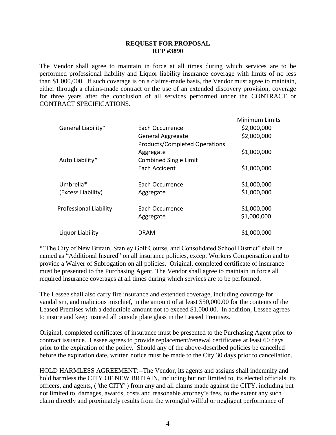The Vendor shall agree to maintain in force at all times during which services are to be performed professional liability and Liquor liability insurance coverage with limits of no less than \$1,000,000. If such coverage is on a claims-made basis, the Vendor must agree to maintain, either through a claims-made contract or the use of an extended discovery provision, coverage for three years after the conclusion of all services performed under the CONTRACT or CONTRACT SPECIFICATIONS.

|                               |                                      | <b>Minimum Limits</b> |
|-------------------------------|--------------------------------------|-----------------------|
| General Liability*            | Each Occurrence                      | \$2,000,000           |
|                               | <b>General Aggregate</b>             | \$2,000,000           |
|                               | <b>Products/Completed Operations</b> |                       |
|                               | Aggregate                            | \$1,000,000           |
| Auto Liability*               | <b>Combined Single Limit</b>         |                       |
|                               | Each Accident                        | \$1,000,000           |
|                               |                                      |                       |
| Umbrella*                     | Each Occurrence                      | \$1,000,000           |
| (Excess Liability)            | Aggregate                            | \$1,000,000           |
|                               |                                      |                       |
| <b>Professional Liability</b> | Each Occurrence                      | \$1,000,000           |
|                               | Aggregate                            | \$1,000,000           |
|                               |                                      |                       |
| Liquor Liability              | <b>DRAM</b>                          | \$1,000,000           |

\*"The City of New Britain, Stanley Golf Course, and Consolidated School District" shall be named as "Additional Insured" on all insurance policies, except Workers Compensation and to provide a Waiver of Subrogation on all policies. Original, completed certificate of insurance must be presented to the Purchasing Agent. The Vendor shall agree to maintain in force all required insurance coverages at all times during which services are to be performed.

The Lessee shall also carry fire insurance and extended coverage, including coverage for vandalism, and malicious mischief, in the amount of at least \$50,000.00 for the contents of the Leased Premises with a deductible amount not to exceed \$1,000.00. In addition, Lessee agrees to insure and keep insured all outside plate glass in the Leased Premises.

Original, completed certificates of insurance must be presented to the Purchasing Agent prior to contract issuance. Lessee agrees to provide replacement/renewal certificates at least 60 days prior to the expiration of the policy. Should any of the above-described policies be cancelled before the expiration date, written notice must be made to the City 30 days prior to cancellation.

HOLD HARMLESS AGREEMENT:--The Vendor, its agents and assigns shall indemnify and hold harmless the CITY OF NEW BRITAIN, including but not limited to, its elected officials, its officers, and agents, ("the CITY") from any and all claims made against the CITY, including but not limited to, damages, awards, costs and reasonable attorney's fees, to the extent any such claim directly and proximately results from the wrongful willful or negligent performance of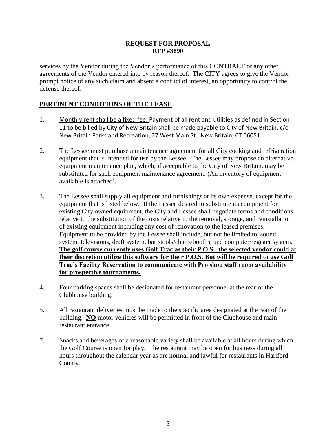services by the Vendor during the Vendor's performance of this CONTRACT or any other agreements of the Vendor entered into by reason thereof. The CITY agrees to give the Vendor prompt notice of any such claim and absent a conflict of interest, an opportunity to control the defense thereof.

## **PERTINENT CONDITIONS OF THE LEASE**

- 1. Monthly rent shall be a fixed fee. Payment of all rent and utilities as defined in Section 11 to be billed by City of New Britain shall be made payable to City of New Britain, c/o New Britain Parks and Recreation, 27 West Main St., New Britain, CT 06051.
- 2. The Lessee must purchase a maintenance agreement for all City cooking and refrigeration equipment that is intended for use by the Lessee. The Lessee may propose an alternative equipment maintenance plan, which, if acceptable to the City of New Britain, may be substituted for such equipment maintenance agreement. (An inventory of equipment available is attached).
- 3. The Lessee shall supply all equipment and furnishings at its own expense, except for the equipment that is listed below. If the Lessee desired to substitute its equipment for existing City owned equipment, the City and Lessee shall negotiate terms and conditions relative to the substitution of the costs relative to the removal, storage, and reinstallation of existing equipment including any cost of renovation to the leased premises. Equipment to be provided by the Lessee shall include, but not be limited to, sound system, televisions, draft system, bar stools/chairs/booths, and computer/register system. **The golf course currently uses Golf Trac as their P.O.S., the selected vendor could at their discretion utilize this software for their P.O.S. But will be required to use Golf Trac's Facility Reservation to communicate with Pro shop staff room availability for prospective tournaments.**
- 4. Four parking spaces shall be designated for restaurant personnel at the rear of the Clubhouse building.
- 5. All restaurant deliveries must be made to the specific area designated at the rear of the building. **NO** motor vehicles will be permitted in front of the Clubhouse and main restaurant entrance.
- 7. Snacks and beverages of a reasonable variety shall be available at all hours during which the Golf Course is open for play. The restaurant may be open for business during all hours throughout the calendar year as are normal and lawful for restaurants in Hartford County.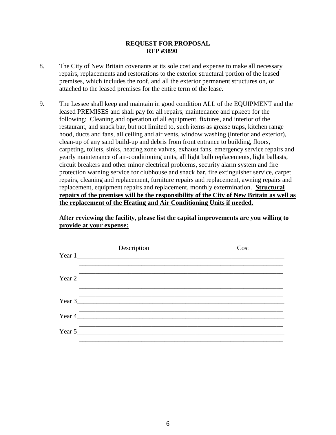- 8. The City of New Britain covenants at its sole cost and expense to make all necessary repairs, replacements and restorations to the exterior structural portion of the leased premises, which includes the roof, and all the exterior permanent structures on, or attached to the leased premises for the entire term of the lease.
- 9. The Lessee shall keep and maintain in good condition ALL of the EQUIPMENT and the leased PREMISES and shall pay for all repairs, maintenance and upkeep for the following: Cleaning and operation of all equipment, fixtures, and interior of the restaurant, and snack bar, but not limited to, such items as grease traps, kitchen range hood, ducts and fans, all ceiling and air vents, window washing (interior and exterior), clean-up of any sand build-up and debris from front entrance to building, floors, carpeting, toilets, sinks, heating zone valves*,* exhaust fans, emergency service repairs and yearly maintenance of air-conditioning units, all light bulb replacements, light ballasts, circuit breakers and other minor electrical problems, security alarm system and fire protection warning service for clubhouse and snack bar, fire extinguisher service, carpet repairs, cleaning and replacement, furniture repairs and replacement, awning repairs and replacement, equipment repairs and replacement, monthly extermination. **Structural repairs of the premises will be the responsibility of the City of New Britain as well as the replacement of the Heating and Air Conditioning Units if needed.**

## **After reviewing the facility, please list the capital improvements are you willing to provide at your expense:**

| Description | Cost |
|-------------|------|
| Year 1      |      |
|             |      |
|             |      |
|             |      |
| Year 3      |      |
|             |      |
| Year 5      |      |
|             |      |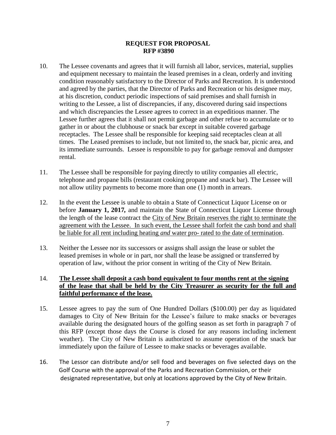- 10. The Lessee covenants and agrees that it will furnish all labor, services, material, supplies and equipment necessary to maintain the leased premises in a clean, orderly and inviting condition reasonably satisfactory to the Director of Parks and Recreation. It is understood and agreed by the parties, that the Director of Parks and Recreation or his designee may, at his discretion, conduct periodic inspections of said premises and shall furnish in writing to the Lessee, a list of discrepancies, if any, discovered during said inspections and which discrepancies the Lessee agrees to correct in an expeditious manner. The Lessee further agrees that it shall not permit garbage and other refuse to accumulate or to gather in or about the clubhouse or snack bar except in suitable covered garbage receptacles. The Lessee shall be responsible for keeping said receptacles clean at all times. The Leased premises to include, but not limited to, the snack bar, picnic area, and its immediate surrounds. Lessee is responsible to pay for garbage removal and dumpster rental.
- 11. The Lessee shall be responsible for paying directly to utility companies all electric, telephone and propane bills (restaurant cooking propane and snack bar). The Lessee will not allow utility payments to become more than one (1) month in arrears.
- 12. In the event the Lessee is unable to obtain a State of Connecticut Liquor License on or before **January 1, 2017***,* and maintain the State of Connecticut Liquor License through the length of the lease contract the City of New Britain reserves the right to terminate the agreement with the Lessee. In such event, the Lessee shall forfeit the cash bond and shall be liable for all rent including heating *and* water pro- rated to the date of termination.
- 13. Neither the Lessee nor its successors or assigns shall assign the lease or sublet the leased premises in whole or in part, nor shall the lease be assigned or transferred by operation of law, without the prior consent in writing of the City of New Britain.

## 14. **The Lessee shall deposit a cash bond equivalent to four months rent at the signing of the lease that shall be held by the City Treasurer as security for the full and faithful performance of the lease.**

- 15. Lessee agrees to pay the sum of One Hundred Dollars (\$100.00) per day as liquidated damages to City of New Britain for the Lessee's failure to make snacks or beverages available during the designated hours of the golfing season as set forth in paragraph 7 of this RFP (except those days the Course is closed for any reasons including inclement weather). The City of New Britain is authorized to assume operation of the snack bar immediately upon the failure of Lessee to make snacks or beverages available.
- 16. The Lessor can distribute and/or sell food and beverages on five selected days on the Golf Course with the approval of the Parks and Recreation Commission, or their designated representative, but only at locations approved by the City of New Britain.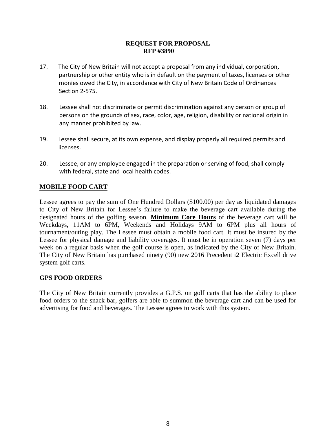- 17. The City of New Britain will not accept a proposal from any individual, corporation, partnership or other entity who is in default on the payment of taxes, licenses or other monies owed the City, in accordance with City of New Britain Code of Ordinances Section 2-575.
- 18. Lessee shall not discriminate or permit discrimination against any person or group of persons on the grounds of sex, race, color, age, religion, disability or national origin in any manner prohibited by law.
- 19. Lessee shall secure, at its own expense, and display properly all required permits and licenses.
- 20. Lessee, or any employee engaged in the preparation or serving of food, shall comply with federal, state and local health codes.

## **MOBILE FOOD CART**

Lessee agrees to pay the sum of One Hundred Dollars (\$100.00) per day as liquidated damages to City of New Britain for Lessee's failure to make the beverage cart available during the designated hours of the golfing season. **Minimum Core Hours** of the beverage cart will be Weekdays, 11AM to 6PM, Weekends and Holidays 9AM to 6PM plus all hours of tournament/outing play. The Lessee must obtain a mobile food cart. It must be insured by the Lessee for physical damage and liability coverages. It must be in operation seven (7) days per week on a regular basis when the golf course is open, as indicated by the City of New Britain. The City of New Britain has purchased ninety (90) new 2016 Precedent i2 Electric Excell drive system golf carts.

## **GPS FOOD ORDERS**

The City of New Britain currently provides a G.P.S. on golf carts that has the ability to place food orders to the snack bar, golfers are able to summon the beverage cart and can be used for advertising for food and beverages. The Lessee agrees to work with this system.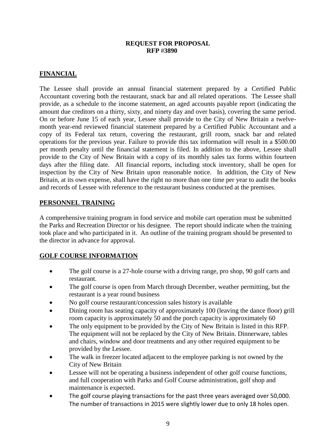## **FINANCIAL**

The Lessee shall provide an annual financial statement prepared by a Certified Public Accountant covering both the restaurant, snack bar and all related operations. The Lessee shall provide, as a schedule to the income statement, an aged accounts payable report (indicating the amount due creditors on a thirty, sixty, and ninety day and over basis), covering the same period. On or before June 15 of each year, Lessee shall provide to the City of New Britain a twelvemonth year-end reviewed financial statement prepared by a Certified Public Accountant and a copy of its Federal tax return, covering the restaurant, grill room, snack bar and related operations for the previous year. Failure to provide this tax information will result in a \$500.00 per month penalty until the financial statement is filed. In addition to the above, Lessee shall provide to the City of New Britain with a copy of its monthly sales tax forms within fourteen days after the filing date. All financial reports, including stock inventory, shall be open for inspection by the City of New Britain upon reasonable notice. In addition, the City of New Britain, at its own expense, shall have the right no more than one time per year to audit the books and records of Lessee with reference to the restaurant business conducted at the premises.

## **PERSONNEL TRAINING**

A comprehensive training program in food service and mobile cart operation must be submitted the Parks and Recreation Director or his designee. The report should indicate when the training took place and who participated in it. An outline of the training program should be presented to the director in advance for approval.

## **GOLF COURSE INFORMATION**

- The golf course is a 27-hole course with a driving range, pro shop, 90 golf carts and restaurant.
- The golf course is open from March through December, weather permitting, but the restaurant is a year round business
- No golf course restaurant/concession sales history is available
- Dining room has seating capacity of approximately 100 (leaving the dance floor) grill room capacity is approximately 50 and the porch capacity is approximately 60
- The only equipment to be provided by the City of New Britain is listed in this RFP. The equipment will not be replaced by the City of New Britain. Dinnerware, tables and chairs, window and door treatments and any other required equipment to be provided by the Lessee.
- The walk in freezer located adjacent to the employee parking is not owned by the City of New Britain
- Lessee will not be operating a business independent of other golf course functions, and full cooperation with Parks and Golf Course administration, golf shop and maintenance is expected.
- The golf course playing transactions for the past three years averaged over 50,000. The number of transactions in 2015 were slightly lower due to only 18 holes open.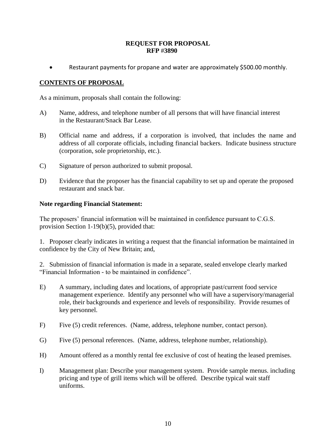Restaurant payments for propane and water are approximately \$500.00 monthly.

## **CONTENTS OF PROPOSAL**

As a minimum, proposals shall contain the following:

- A) Name, address, and telephone number of all persons that will have financial interest in the Restaurant/Snack Bar Lease.
- B) Official name and address, if a corporation is involved, that includes the name and address of all corporate officials, including financial backers. Indicate business structure (corporation, sole proprietorship, etc.).
- C) Signature of person authorized to submit proposal.
- D) Evidence that the proposer has the financial capability to set up and operate the proposed restaurant and snack bar.

## **Note regarding Financial Statement:**

The proposers' financial information will be maintained in confidence pursuant to C.G.S. provision Section 1-19(b)(5), provided that:

1. Proposer clearly indicates in writing a request that the financial information be maintained in confidence by the City of New Britain; and,

2. Submission of financial information is made in a separate, sealed envelope clearly marked "Financial Information - to be maintained in confidence".

- E) A summary, including dates and locations, of appropriate past/current food service management experience. Identify any personnel who will have a supervisory/managerial role, their backgrounds and experience and levels of responsibility. Provide resumes of key personnel.
- F) Five (5) credit references. (Name, address, telephone number, contact person).
- G) Five (5) personal references. (Name, address, telephone number, relationship).
- H) Amount offered as a monthly rental fee exclusive of cost of heating the leased premises.
- I) Management plan: Describe your management system. Provide sample menus. including pricing and type of grill items which will be offered. Describe typical wait staff uniforms.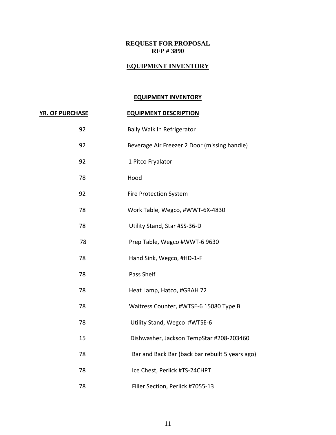#### **EQUIPMENT INVENTORY**

#### **EQUIPMENT INVENTORY**

#### **YR. OF PURCHASE EQUIPMENT DESCRIPTION**

92 Bally Walk In Refrigerator 92 Beverage Air Freezer 2 Door (missing handle) 92 1 Pitco Fryalator 78 Hood 92 Fire Protection System 78 Work Table, Wegco, #WWT-6X-4830 78 Utility Stand, Star #SS-36-D 78 Prep Table, Wegco #WWT-6 9630 78 Hand Sink, Wegco, #HD-1-F 78 Pass Shelf 78 Heat Lamp, Hatco, #GRAH 72 78 Waitress Counter, #WTSE-6 15080 Type B 78 Utility Stand, Wegco #WTSE-6 15 Dishwasher, Jackson TempStar #208-203460 78 Bar and Back Bar (back bar rebuilt 5 years ago) 78 Ice Chest, Perlick #TS-24CHPT 78 Filler Section, Perlick #7055-13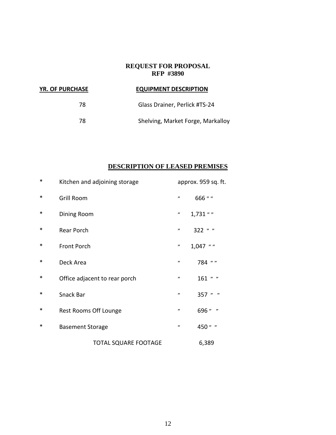| <b>YR. OF PURCHASE</b> | <b>EQUIPMENT DESCRIPTION</b>      |
|------------------------|-----------------------------------|
| 78                     | Glass Drainer, Perlick #TS-24     |
| 78                     | Shelving, Market Forge, Markalloy |

## **DESCRIPTION OF LEASED PREMISES**

| $\ast$ | Kitchen and adjoining storage |                               | approx. 959 sq. ft. |            |
|--------|-------------------------------|-------------------------------|---------------------|------------|
| ∗      | <b>Grill Room</b>             |                               | ,,                  | 666 " "    |
| ∗      | Dining Room                   |                               | ,,                  | $1,731$ "  |
| ∗      | Rear Porch                    |                               | $\pmb{\cdot}$       | 322 " "    |
| ∗      | <b>Front Porch</b>            |                               | ,,                  | $1,047$ "" |
| ∗      | Deck Area                     |                               | $\pmb{\prime}$      | 784 " "    |
| ∗      |                               | Office adjacent to rear porch | "                   | 161 " "    |
| ∗      | Snack Bar                     |                               | ,,                  | 357 " "    |
| ∗      | Rest Rooms Off Lounge         |                               | $\pmb{\prime}$      | 696 " "    |
| ∗      | <b>Basement Storage</b>       |                               | $^{\prime\prime}$   | 450 " "    |
|        |                               | <b>TOTAL SQUARE FOOTAGE</b>   |                     | 6,389      |